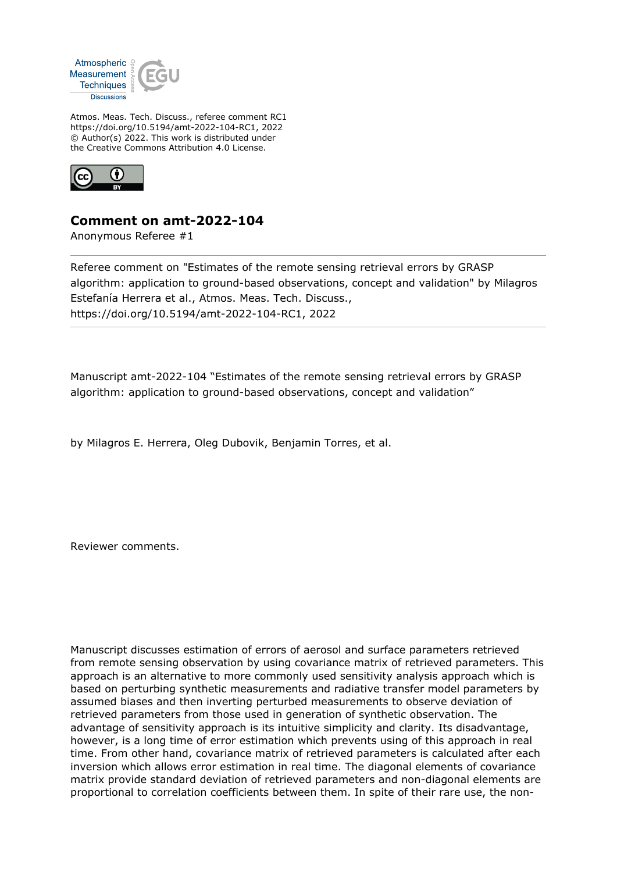

Atmos. Meas. Tech. Discuss., referee comment RC1 https://doi.org/10.5194/amt-2022-104-RC1, 2022 © Author(s) 2022. This work is distributed under the Creative Commons Attribution 4.0 License.



## **Comment on amt-2022-104**

Anonymous Referee #1

Referee comment on "Estimates of the remote sensing retrieval errors by GRASP algorithm: application to ground-based observations, concept and validation" by Milagros Estefanía Herrera et al., Atmos. Meas. Tech. Discuss., https://doi.org/10.5194/amt-2022-104-RC1, 2022

Manuscript amt-2022-104 "Estimates of the remote sensing retrieval errors by GRASP algorithm: application to ground-based observations, concept and validation"

by Milagros E. Herrera, Oleg Dubovik, Benjamin Torres, et al.

Reviewer comments.

Manuscript discusses estimation of errors of aerosol and surface parameters retrieved from remote sensing observation by using covariance matrix of retrieved parameters. This approach is an alternative to more commonly used sensitivity analysis approach which is based on perturbing synthetic measurements and radiative transfer model parameters by assumed biases and then inverting perturbed measurements to observe deviation of retrieved parameters from those used in generation of synthetic observation. The advantage of sensitivity approach is its intuitive simplicity and clarity. Its disadvantage, however, is a long time of error estimation which prevents using of this approach in real time. From other hand, covariance matrix of retrieved parameters is calculated after each inversion which allows error estimation in real time. The diagonal elements of covariance matrix provide standard deviation of retrieved parameters and non-diagonal elements are proportional to correlation coefficients between them. In spite of their rare use, the non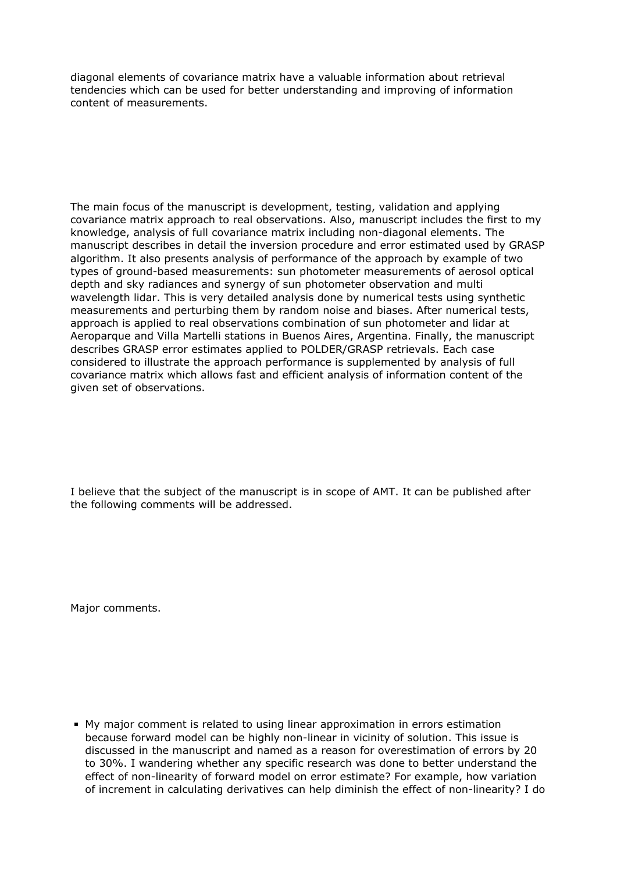diagonal elements of covariance matrix have a valuable information about retrieval tendencies which can be used for better understanding and improving of information content of measurements.

The main focus of the manuscript is development, testing, validation and applying covariance matrix approach to real observations. Also, manuscript includes the first to my knowledge, analysis of full covariance matrix including non-diagonal elements. The manuscript describes in detail the inversion procedure and error estimated used by GRASP algorithm. It also presents analysis of performance of the approach by example of two types of ground-based measurements: sun photometer measurements of aerosol optical depth and sky radiances and synergy of sun photometer observation and multi wavelength lidar. This is very detailed analysis done by numerical tests using synthetic measurements and perturbing them by random noise and biases. After numerical tests, approach is applied to real observations combination of sun photometer and lidar at Aeroparque and Villa Martelli stations in Buenos Aires, Argentina. Finally, the manuscript describes GRASP error estimates applied to POLDER/GRASP retrievals. Each case considered to illustrate the approach performance is supplemented by analysis of full covariance matrix which allows fast and efficient analysis of information content of the given set of observations.

I believe that the subject of the manuscript is in scope of AMT. It can be published after the following comments will be addressed.

Major comments.

My major comment is related to using linear approximation in errors estimation because forward model can be highly non-linear in vicinity of solution. This issue is discussed in the manuscript and named as a reason for overestimation of errors by 20 to 30%. I wandering whether any specific research was done to better understand the effect of non-linearity of forward model on error estimate? For example, how variation of increment in calculating derivatives can help diminish the effect of non-linearity? I do